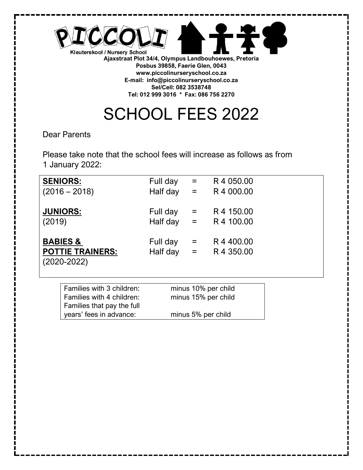

SCHOOL FEES 2022

Dear Parents

Please take note that the school fees will increase as follows as from 1 January 2022:

| <b>SENIORS:</b>         | Full day     | $\alpha = 1$ | R4 050.00  |
|-------------------------|--------------|--------------|------------|
| $(2016 - 2018)$         | Half day $=$ |              | R4 000.00  |
|                         |              |              |            |
| <b>JUNIORS:</b>         | Full day     | $\alpha = 1$ | R 4 150.00 |
| (2019)                  | Half day $=$ |              | R 4 100.00 |
|                         |              |              |            |
| <b>BABIES &amp;</b>     | Full day     | $=$          | R4400.00   |
| <b>POTTIE TRAINERS:</b> | Half day $=$ |              | R4 350.00  |
| $(2020 - 2022)$         |              |              |            |
|                         |              |              |            |

| Families with 3 children:  | minus 10% per child |
|----------------------------|---------------------|
| Families with 4 children:  | minus 15% per child |
| Families that pay the full |                     |
| years' fees in advance:    | minus 5% per child  |